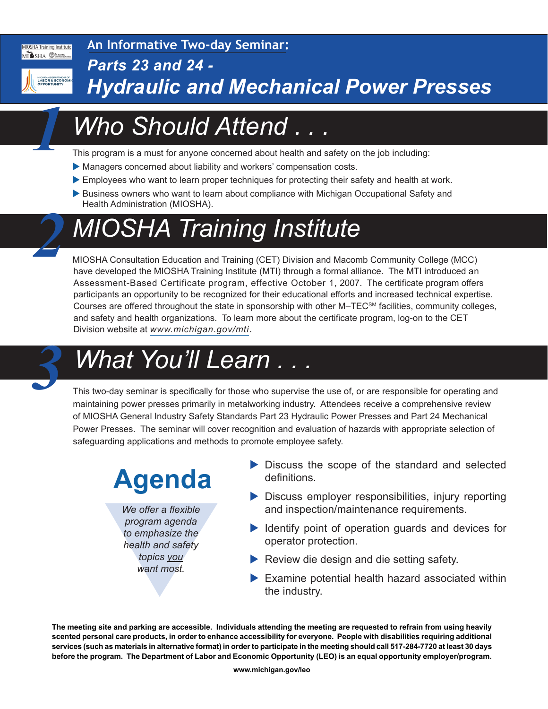#### **MIOSHA Training Institute** MISHA CMacomb

**An Informative Two-day Seminar:**

*Parts 23 and 24 -*



*1*

*2*

## *Hydraulic and Mechanical Power Presses*

# *Who Should Attend . . .*

This program is a must for anyone concerned about health and safety on the job including:

- Managers concerned about liability and workers' compensation costs.
- Employees who want to learn proper techniques for protecting their safety and health at work.
- Business owners who want to learn about compliance with Michigan Occupational Safety and Health Administration (MIOSHA).

# *MIOSHA Training Institute*

MIOSHA Consultation Education and Training (CET) Division and Macomb Community College (MCC) have developed the MIOSHA Training Institute (MTI) through a formal alliance. The MTI introduced an Assessment-Based Certificate program, effective October 1, 2007. The certificate program offers participants an opportunity to be recognized for their educational efforts and increased technical expertise. Courses are offered throughout the state in sponsorship with other M–TECSM facilities, community colleges, and safety and health organizations. To learn more about the certificate program, log-on to the CET Division website at *[www.michigan.gov/mti](http://www.michigan.gov/mti)*.

# *What You'll Learn . . . 3*

This two-day seminar is specifically for those who supervise the use of, or are responsible for operating and maintaining power presses primarily in metalworking industry. Attendees receive a comprehensive review of MIOSHA General Industry Safety Standards Part 23 Hydraulic Power Presses and Part 24 Mechanical Power Presses. The seminar will cover recognition and evaluation of hazards with appropriate selection of safeguarding applications and methods to promote employee safety.

# **Agenda**

We offer a flexible<br>program agenda<br>to emphasize the<br>health and safety<br>topics <u>you</u><br>want most. *We offer a flexible program agenda to emphasize the health and safety topics you want most.*

- $\triangleright$  Discuss the scope of the standard and selected definitions.
- $\triangleright$  Discuss employer responsibilities, injury reporting and inspection/maintenance requirements.
- $\blacktriangleright$  Identify point of operation guards and devices for operator protection.
- $\blacktriangleright$  Review die design and die setting safety.
- $\blacktriangleright$  Examine potential health hazard associated within the industry.

**The meeting site and parking are accessible. Individuals attending the meeting are requested to refrain from using heavily scented personal care products, in order to enhance accessibility for everyone. People with disabilities requiring additional services (such as materials in alternative format) in order to participate in the meeting should call 517-284-7720 at least 30 days before the program. The Department of Labor and Economic Opportunity (LEO) is an equal opportunity employer/program.**